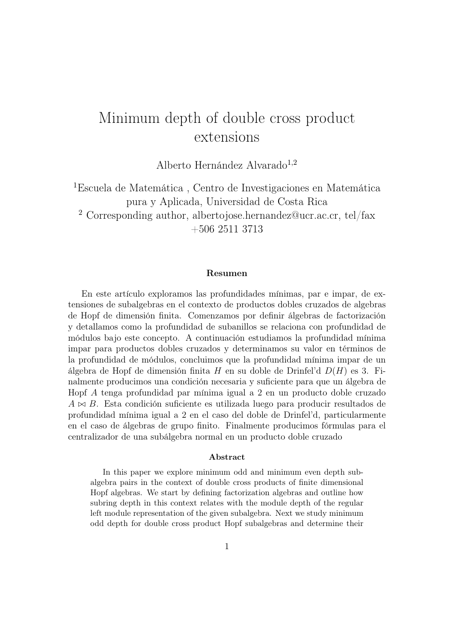# Minimum depth of double cross product extensions

Alberto Hernández Alvarado<sup>1,2</sup>

 $^1\!E$ scuela de Matemática , Centro de Investigaciones en Matemática pura y Aplicada, Universidad de Costa Rica <sup>2</sup> Corresponding author, albertojose.hernandez@ucr.ac.cr, tel/fax +506 2511 3713

#### Resumen

En este artículo exploramos las profundidades mínimas, par e impar, de extensiones de subalgebras en el contexto de productos dobles cruzados de algebras de Hopf de dimensión finita. Comenzamos por definir álgebras de factorización y detallamos como la profundidad de subanillos se relaciona con profundidad de módulos bajo este concepto. A continuación estudiamos la profundidad mínima impar para productos dobles cruzados y determinamos su valor en términos de la profundidad de módulos, concluimos que la profundidad mínima impar de un álgebra de Hopf de dimensión finita H en su doble de Drinfel'd D(H) es 3. Finalmente producimos una condición necesaria y suficiente para que un álgebra de Hopf A tenga profundidad par mínima igual a 2 en un producto doble cruzado  $A \bowtie B$ . Esta condición suficiente es utilizada luego para producir resultados de profundidad mínima igual a 2 en el caso del doble de Drinfel'd, particularmente en el caso de álgebras de grupo finito. Finalmente producimos fórmulas para el centralizador de una subálgebra normal en un producto doble cruzado

#### Abstract

In this paper we explore minimum odd and minimum even depth subalgebra pairs in the context of double cross products of finite dimensional Hopf algebras. We start by defining factorization algebras and outline how subring depth in this context relates with the module depth of the regular left module representation of the given subalgebra. Next we study minimum odd depth for double cross product Hopf subalgebras and determine their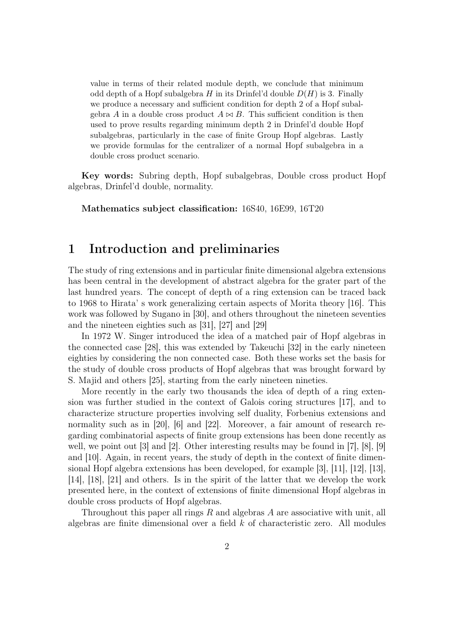value in terms of their related module depth, we conclude that minimum odd depth of a Hopf subalgebra H in its Drinfel'd double  $D(H)$  is 3. Finally we produce a necessary and sufficient condition for depth 2 of a Hopf subalgebra A in a double cross product  $A \bowtie B$ . This sufficient condition is then used to prove results regarding minimum depth 2 in Drinfel'd double Hopf subalgebras, particularly in the case of finite Group Hopf algebras. Lastly we provide formulas for the centralizer of a normal Hopf subalgebra in a double cross product scenario.

Key words: Subring depth, Hopf subalgebras, Double cross product Hopf algebras, Drinfel'd double, normality.

Mathematics subject classification: 16S40, 16E99, 16T20

## 1 Introduction and preliminaries

The study of ring extensions and in particular finite dimensional algebra extensions has been central in the development of abstract algebra for the grater part of the last hundred years. The concept of depth of a ring extension can be traced back to 1968 to Hirata' s work generalizing certain aspects of Morita theory [16]. This work was followed by Sugano in [30], and others throughout the nineteen seventies and the nineteen eighties such as [31], [27] and [29]

In 1972 W. Singer introduced the idea of a matched pair of Hopf algebras in the connected case [28], this was extended by Takeuchi [32] in the early nineteen eighties by considering the non connected case. Both these works set the basis for the study of double cross products of Hopf algebras that was brought forward by S. Majid and others [25], starting from the early nineteen nineties.

More recently in the early two thousands the idea of depth of a ring extension was further studied in the context of Galois coring structures [17], and to characterize structure properties involving self duality, Forbenius extensions and normality such as in [20], [6] and [22]. Moreover, a fair amount of research regarding combinatorial aspects of finite group extensions has been done recently as well, we point out [3] and [2]. Other interesting results may be found in [7], [8], [9] and [10]. Again, in recent years, the study of depth in the context of finite dimensional Hopf algebra extensions has been developed, for example [3], [11], [12], [13], [14], [18], [21] and others. Is in the spirit of the latter that we develop the work presented here, in the context of extensions of finite dimensional Hopf algebras in double cross products of Hopf algebras.

Throughout this paper all rings  $R$  and algebras  $A$  are associative with unit, all algebras are finite dimensional over a field  $k$  of characteristic zero. All modules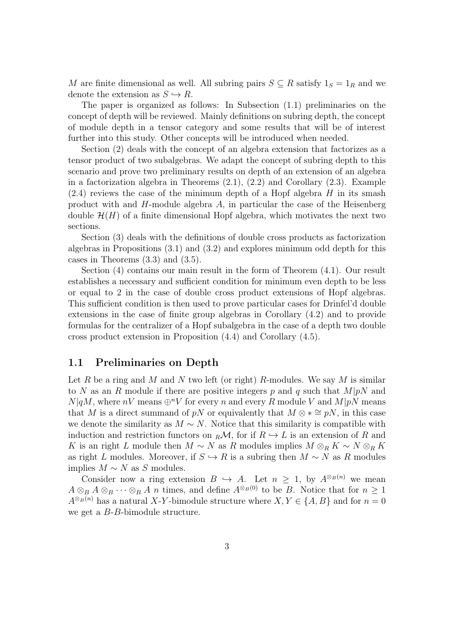M are finite dimensional as well. All subring pairs  $S \subseteq R$  satisfy  $1_S = 1_R$  and we denote the extension as  $S \hookrightarrow R$ .

The paper is organized as follows: In Subsection (1.1) preliminaries on the concept of depth will be reviewed. Mainly definitions on subring depth, the concept of module depth in a tensor category and some results that will be of interest further into this study. Other concepts will be introduced when needed.

Section (2) deals with the concept of an algebra extension that factorizes as a tensor product of two subalgebras. We adapt the concept of subring depth to this scenario and prove two preliminary results on depth of an extension of an algebra in a factorization algebra in Theorems  $(2.1)$ ,  $(2.2)$  and Corollary  $(2.3)$ . Example  $(2.4)$  reviews the case of the minimum depth of a Hopf algebra H in its smash product with and  $H$ -module algebra  $A$ , in particular the case of the Heisenberg double  $\mathcal{H}(H)$  of a finite dimensional Hopf algebra, which motivates the next two sections.

Section (3) deals with the definitions of double cross products as factorization algebras in Propositions (3.1) and (3.2) and explores minimum odd depth for this cases in Theorems (3.3) and (3.5).

Section (4) contains our main result in the form of Theorem (4.1). Our result establishes a necessary and sufficient condition for minimum even depth to be less or equal to 2 in the case of double cross product extensions of Hopf algebras. This sufficient condition is then used to prove particular cases for Drinfel'd double extensions in the case of finite group algebras in Corollary (4.2) and to provide formulas for the centralizer of a Hopf subalgebra in the case of a depth two double cross product extension in Proposition (4.4) and Corollary (4.5).

#### 1.1 Preliminaries on Depth

Let R be a ring and M and N two left (or right) R-modules. We say M is similar to N as an R module if there are positive integers p and q such that  $M|pN$  and  $N|qM$ , where  $nV$  means  $\bigoplus^n V$  for every n and every R module V and  $M|pN$  means that M is a direct summand of pN or equivalently that  $M \otimes * \cong pN$ , in this case we denote the similarity as  $M \sim N$ . Notice that this similarity is compatible with induction and restriction functors on  $_R\mathcal{M}$ , for if  $R \hookrightarrow L$  is an extension of R and K is an right L module then  $M \sim N$  as R modules implies  $M \otimes_R K \sim N \otimes_R K$ as right L modules. Moreover, if  $S \hookrightarrow R$  is a subring then  $M \sim N$  as R modules implies  $M \sim N$  as S modules.

Consider now a ring extension  $B \hookrightarrow A$ . Let  $n \geq 1$ , by  $A^{\otimes_B(n)}$  we mean  $A \otimes_B A \otimes_B \cdots \otimes_B A$  *n* times, and define  $A^{\otimes_B(0)}$  to be B. Notice that for  $n \geq 1$  $A^{\otimes_B(n)}$  has a natural X-Y-bimodule structure where  $X, Y \in \{A, B\}$  and for  $n = 0$ we get a B-B-bimodule structure.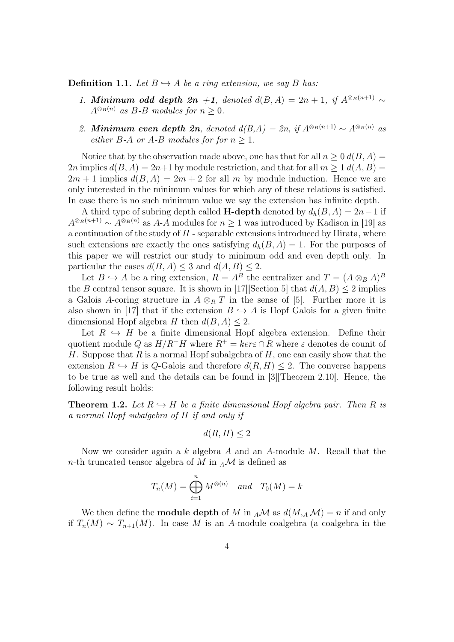**Definition 1.1.** Let  $B \hookrightarrow A$  be a ring extension, we say B has:

- 1. Minimum odd depth 2n +1, denoted  $d(B, A) = 2n + 1$ , if  $A^{\otimes_B(n+1)} \sim$  $A^{\otimes_B(n)}$  as B-B modules for  $n \geq 0$ .
- 2. Minimum even depth 2n, denoted  $d(B,A) = 2n$ , if  $A^{\otimes_B(n+1)} \sim A^{\otimes_B(n)}$  as either B-A or A-B modules for for  $n > 1$ .

Notice that by the observation made above, one has that for all  $n \geq 0$   $d(B, A)$ 2n implies  $d(B, A) = 2n+1$  by module restriction, and that for all  $m \geq 1$   $d(A, B) =$  $2m + 1$  implies  $d(B, A) = 2m + 2$  for all m by module induction. Hence we are only interested in the minimum values for which any of these relations is satisfied. In case there is no such minimum value we say the extension has infinite depth.

A third type of subring depth called **H-depth** denoted by  $d_h(B, A) = 2n - 1$  if  $A^{\otimes_B(n+1)} \sim A^{\otimes_B(n)}$  as A-A modules for  $n \ge 1$  was introduced by Kadison in [19] as a continuation of the study of  $H$  - separable extensions introduced by Hirata, where such extensions are exactly the ones satisfying  $d_h(B, A) = 1$ . For the purposes of this paper we will restrict our study to minimum odd and even depth only. In particular the cases  $d(B, A) \leq 3$  and  $d(A, B) \leq 2$ .

Let  $B \hookrightarrow A$  be a ring extension,  $R = A^B$  the centralizer and  $T = (A \otimes_B A)^B$ the B central tensor square. It is shown in [17][Section 5] that  $d(A, B) \le 2$  implies a Galois A-coring structure in  $A \otimes_R T$  in the sense of [5]. Further more it is also shown in [17] that if the extension  $B \hookrightarrow A$  is Hopf Galois for a given finite dimensional Hopf algebra H then  $d(B, A) \leq 2$ .

Let  $R \leftrightarrow H$  be a finite dimensional Hopf algebra extension. Define their quotient module Q as  $H/R^+H$  where  $R^+ = \text{ker}\epsilon \cap R$  where  $\epsilon$  denotes de counit of H. Suppose that R is a normal Hopf subalgebra of H, one can easily show that the extension  $R \hookrightarrow H$  is Q-Galois and therefore  $d(R, H) \leq 2$ . The converse happens to be true as well and the details can be found in [3][Theorem 2.10]. Hence, the following result holds:

**Theorem 1.2.** Let  $R \hookrightarrow H$  be a finite dimensional Hopf algebra pair. Then R is a normal Hopf subalgebra of H if and only if

$$
d(R, H) \le 2
$$

Now we consider again a  $k$  algebra  $A$  and an  $A$ -module  $M$ . Recall that the n-th truncated tensor algebra of M in  $_A\mathcal{M}$  is defined as

$$
T_n(M) = \bigoplus_{i=1}^n M^{\otimes (n)} \quad \text{and} \quad T_0(M) = k
$$

We then define the **module depth** of M in  $_A\mathcal{M}$  as  $d(M, _A\mathcal{M}) = n$  if and only if  $T_n(M) \sim T_{n+1}(M)$ . In case M is an A-module coalgebra (a coalgebra in the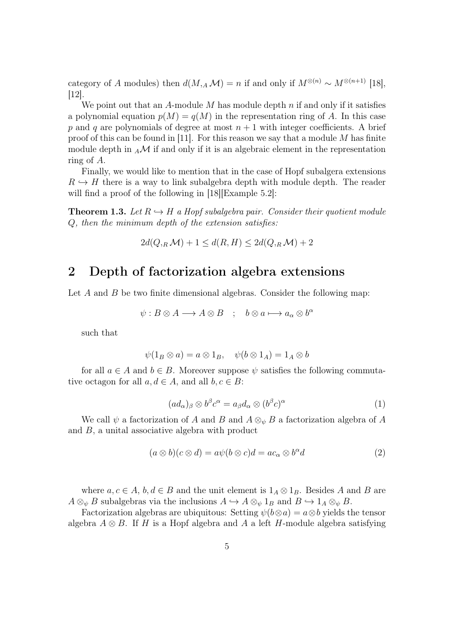category of A modules) then  $d(M, _A\mathcal{M}) = n$  if and only if  $M^{\otimes (n)} \sim M^{\otimes (n+1)}$  [18], [12].

We point out that an A-module M has module depth  $n$  if and only if it satisfies a polynomial equation  $p(M) = q(M)$  in the representation ring of A. In this case p and q are polynomials of degree at most  $n + 1$  with integer coefficients. A brief proof of this can be found in [11]. For this reason we say that a module  $M$  has finite module depth in  $_A\mathcal{M}$  if and only if it is an algebraic element in the representation ring of A.

Finally, we would like to mention that in the case of Hopf subalgera extensions  $R \hookrightarrow H$  there is a way to link subalgebra depth with module depth. The reader will find a proof of the following in [18] [Example 5.2]:

**Theorem 1.3.** Let  $R \hookrightarrow H$  a Hopf subalgebra pair. Consider their quotient module Q, then the minimum depth of the extension satisfies:

$$
2d(Q_{,R}\mathcal{M}) + 1 \le d(R, H) \le 2d(Q_{,R}\mathcal{M}) + 2
$$

### 2 Depth of factorization algebra extensions

Let  $A$  and  $B$  be two finite dimensional algebras. Consider the following map:

$$
\psi: B \otimes A \longrightarrow A \otimes B \quad ; \quad b \otimes a \longmapsto a_{\alpha} \otimes b^{\alpha}
$$

such that

$$
\psi(1_B \otimes a) = a \otimes 1_B, \quad \psi(b \otimes 1_A) = 1_A \otimes b
$$

for all  $a \in A$  and  $b \in B$ . Moreover suppose  $\psi$  satisfies the following commutative octagon for all  $a, d \in A$ , and all  $b, c \in B$ :

$$
(ad_{\alpha})_{\beta} \otimes b^{\beta} c^{\alpha} = a_{\beta} d_{\alpha} \otimes (b^{\beta} c)^{\alpha} \tag{1}
$$

We call  $\psi$  a factorization of A and B and  $A \otimes_{\psi} B$  a factorization algebra of A and B, a unital associative algebra with product

$$
(a \otimes b)(c \otimes d) = a\psi(b \otimes c)d = ac_{\alpha} \otimes b^{\alpha}d \qquad (2)
$$

where  $a, c \in A$ ,  $b, d \in B$  and the unit element is  $1_A \otimes 1_B$ . Besides A and B are  $A \otimes_{\psi} B$  subalgebras via the inclusions  $A \hookrightarrow A \otimes_{\psi} 1_B$  and  $B \hookrightarrow 1_A \otimes_{\psi} B$ .

Factorization algebras are ubiquitous: Setting  $\psi(b\otimes a)=a\otimes b$  yields the tensor algebra  $A \otimes B$ . If H is a Hopf algebra and A a left H-module algebra satisfying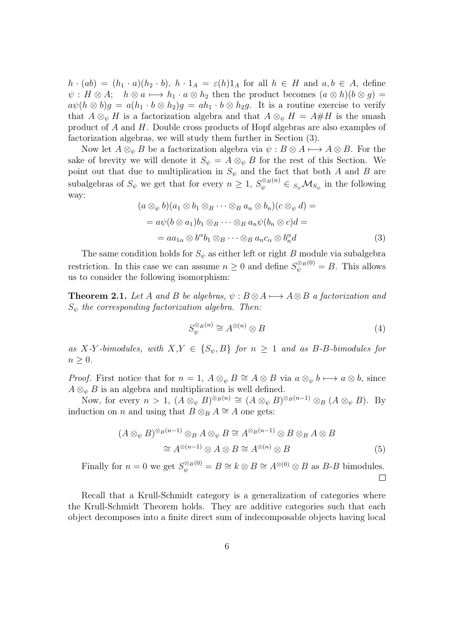$h \cdot (ab) = (h_1 \cdot a)(h_2 \cdot b), h \cdot 1_A = \varepsilon(h)1_A$  for all  $h \in H$  and  $a, b \in A$ , define  $\psi : H \otimes A; \quad h \otimes a \longmapsto h_1 \cdot a \otimes h_2$  then the product becomes  $(a \otimes h)(b \otimes g) =$  $a\psi(h\otimes b)g = a(h_1 \cdot b \otimes h_2)g = ah_1 \cdot b \otimes h_2g$ . It is a routine exercise to verify that  $A \otimes_{\psi} H$  is a factorization algebra and that  $A \otimes_{\psi} H = A \# H$  is the smash product of A and H. Double cross products of Hopf algebras are also examples of factorization algebras, we will study them further in Section (3).

Now let  $A \otimes_{\psi} B$  be a factorization algebra via  $\psi : B \otimes A \longmapsto A \otimes B$ . For the sake of brevity we will denote it  $S_{\psi} = A \otimes_{\psi} B$  for the rest of this Section. We point out that due to multiplication in  $S_{\psi}$  and the fact that both A and B are subalgebras of  $S_{\psi}$  we get that for every  $n \geq 1$ ,  $S_{\psi}^{\otimes B(n)} \in S_{\psi} \mathcal{M}_{S_{\psi}}$  in the following way:

$$
(a \otimes_{\psi} b)(a_1 \otimes b_1 \otimes_{B} \cdots \otimes_{B} a_n \otimes b_n)(c \otimes_{\psi} d) =
$$
  
=  $a\psi(b \otimes a_1)b_1 \otimes_{B} \cdots \otimes_{B} a_n\psi(b_n \otimes c)d =$   
=  $aa_{1\alpha} \otimes b^{\alpha}b_1 \otimes_{B} \cdots \otimes_{B} a_n c_{\alpha} \otimes b_n^{\alpha} d$  (3)

The same condition holds for  $S_{\psi}$  as either left or right B module via subalgebra restriction. In this case we can assume  $n \geq 0$  and define  $S_{\psi}^{\otimes_B(0)} = B$ . This allows us to consider the following isomorphism:

**Theorem 2.1.** Let A and B be algebras,  $\psi : B \otimes A \longrightarrow A \otimes B$  a factorization and  $S_{\psi}$  the corresponding factorization algebra. Then:

$$
S_{\psi}^{\otimes_B(n)} \cong A^{\otimes (n)} \otimes B \tag{4}
$$

as X-Y-bimodules, with  $X,Y \in \{S_{\psi}, B\}$  for  $n \geq 1$  and as B-B-bimodules for  $n \geq 0$ .

*Proof.* First notice that for  $n = 1$ ,  $A \otimes_{\psi} B \cong A \otimes B$  via  $a \otimes_{\psi} b \longmapsto a \otimes b$ , since  $A \otimes_{\psi} B$  is an algebra and multiplication is well defined.

Now, for every  $n > 1$ ,  $(A \otimes_{\psi} B)^{\otimes_B (n)} \cong (A \otimes_{\psi} B)^{\otimes_B (n-1)} \otimes_B (A \otimes_{\psi} B)$ . By induction on *n* and using that  $B \otimes_B A \cong A$  one gets:

$$
(A \otimes_{\psi} B)^{\otimes_B (n-1)} \otimes_B A \otimes_{\psi} B \cong A^{\otimes_B (n-1)} \otimes B \otimes_B A \otimes B
$$
  

$$
\cong A^{\otimes (n-1)} \otimes A \otimes B \cong A^{\otimes (n)} \otimes B
$$
 (5)

Finally for  $n = 0$  we get  $S_{\psi}^{\otimes_B(0)} = B \cong k \otimes B \cong A^{\otimes(0)} \otimes B$  as B-B bimodules.  $\Box$ 

Recall that a Krull-Schmidt category is a generalization of categories where the Krull-Schmidt Theorem holds. They are additive categories such that each object decomposes into a finite direct sum of indecomposable objects having local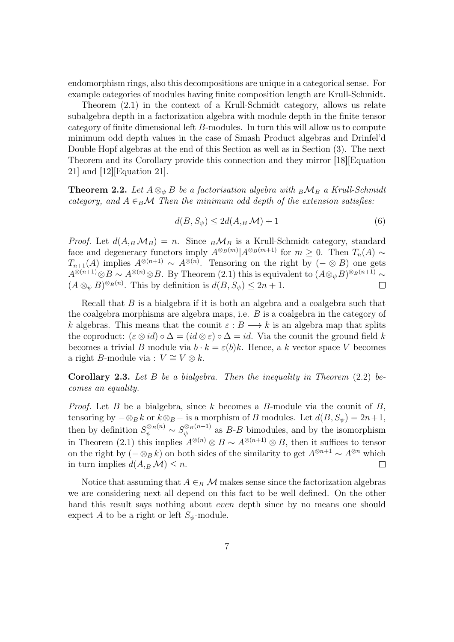endomorphism rings, also this decompositions are unique in a categorical sense. For example categories of modules having finite composition length are Krull-Schmidt.

Theorem (2.1) in the context of a Krull-Schmidt category, allows us relate subalgebra depth in a factorization algebra with module depth in the finite tensor category of finite dimensional left B-modules. In turn this will allow us to compute minimum odd depth values in the case of Smash Product algebras and Drinfel'd Double Hopf algebras at the end of this Section as well as in Section (3). The next Theorem and its Corollary provide this connection and they mirror [18][Equation 21] and [12][Equation 21].

**Theorem 2.2.** Let  $A \otimes_{\psi} B$  be a factorisation algebra with  ${}_B\mathcal{M}_B$  a Krull-Schmidt category, and  $A \in_B \mathcal{M}$  Then the minimum odd depth of the extension satisfies:

$$
d(B, S_{\psi}) \le 2d(A, B \mathcal{M}) + 1 \tag{6}
$$

*Proof.* Let  $d(A_B \mathcal{M}_B) = n$ . Since  ${}_B\mathcal{M}_B$  is a Krull-Schmidt category, standard face and degeneracy functors imply  $A^{\otimes_B(m)}|A^{\otimes_B(m+1)}$  for  $m \geq 0$ . Then  $T_n(A) \sim$  $T_{n+1}(A)$  implies  $A^{\otimes (n+1)} \sim A^{\otimes (n)}$ . Tensoring on the right by  $(- \otimes B)$  one gets  $A^{\otimes (n+1)} \otimes B \sim A^{\otimes (n)} \otimes B$ . By Theorem (2.1) this is equivalent to  $(A \otimes_{\psi} B)^{\otimes_B (n+1)} \sim$  $(A \otimes_{\psi} B)^{\otimes_B (n)}$ . This by definition is  $d(B, S_{\psi}) \leq 2n + 1$ .  $\Box$ 

Recall that B is a bialgebra if it is both an algebra and a coalgebra such that the coalgebra morphisms are algebra maps, i.e. B is a coalgebra in the category of k algebras. This means that the counit  $\varepsilon : B \longrightarrow k$  is an algebra map that splits the coproduct:  $(\varepsilon \otimes id) \circ \Delta = (id \otimes \varepsilon) \circ \Delta = id$ . Via the counit the ground field k becomes a trivial B module via  $b \cdot k = \varepsilon(b)k$ . Hence, a k vector space V becomes a right B-module via :  $V \cong V \otimes k$ .

**Corollary 2.3.** Let B be a bialgebra. Then the inequality in Theorem  $(2.2)$  becomes an equality.

*Proof.* Let B be a bialgebra, since k becomes a B-module via the counit of B, tensoring by  $-\otimes_B k$  or  $k\otimes_B -$  is a morphism of B modules. Let  $d(B, S_{\psi}) = 2n+1$ , then by definition  $S_{\psi}^{\otimes_B(n)} \sim S_{\psi}^{\otimes_B(n+1)}$  $\psi_{\psi}^{\otimes_B(n+1)}$  as B-B bimodules, and by the isomorphism in Theorem (2.1) this implies  $A^{\otimes (n)} \otimes B \sim A^{\otimes (n+1)} \otimes B$ , then it suffices to tensor on the right by  $(-\otimes_B k)$  on both sides of the similarity to get  $A^{\otimes n+1} \sim A^{\otimes n}$  which in turn implies  $d(A, B, \mathcal{M}) \leq n$ .  $\Box$ 

Notice that assuming that  $A \in_B \mathcal{M}$  makes sense since the factorization algebras we are considering next all depend on this fact to be well defined. On the other hand this result says nothing about even depth since by no means one should expect A to be a right or left  $S_{\psi}$ -module.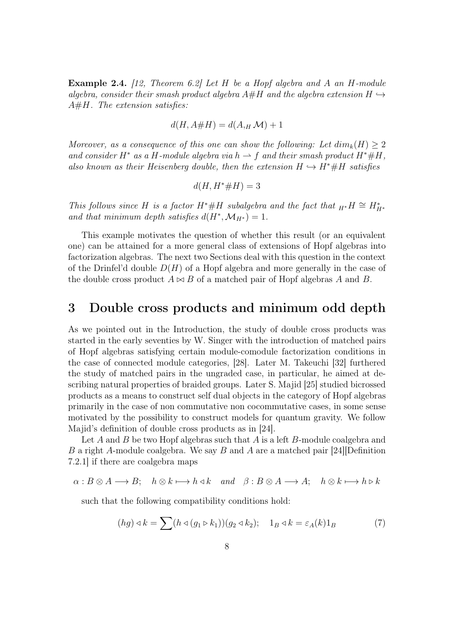Example 2.4. [12, Theorem 6.2] Let H be a Hopf algebra and A an H-module algebra, consider their smash product algebra  $A#H$  and the algebra extension  $H \hookrightarrow$  $A\#H$ . The extension satisfies:

$$
d(H, A \# H) = d(A, H \mathcal{M}) + 1
$$

Moreover, as a consequence of this one can show the following: Let  $dim_k(H) \geq 2$ and consider H<sup>\*</sup> as a H-module algebra via h  $\rightarrow$  f and their smash product H<sup>\*</sup>#H, also known as their Heisenberg double, then the extension  $H \hookrightarrow H^* \# H$  satisfies

$$
d(H, H^* \# H) = 3
$$

This follows since H is a factor H<sup>\*</sup>#H subalgebra and the fact that  $_{H^*}H \cong H^*_{H^*}$ and that minimum depth satisfies  $d(H^*, \mathcal{M}_{H^*}) = 1$ .

This example motivates the question of whether this result (or an equivalent one) can be attained for a more general class of extensions of Hopf algebras into factorization algebras. The next two Sections deal with this question in the context of the Drinfel'd double  $D(H)$  of a Hopf algebra and more generally in the case of the double cross product  $A \bowtie B$  of a matched pair of Hopf algebras A and B.

### 3 Double cross products and minimum odd depth

As we pointed out in the Introduction, the study of double cross products was started in the early seventies by W. Singer with the introduction of matched pairs of Hopf algebras satisfying certain module-comodule factorization conditions in the case of connected module categories, [28]. Later M. Takeuchi [32] furthered the study of matched pairs in the ungraded case, in particular, he aimed at describing natural properties of braided groups. Later S. Majid [25] studied bicrossed products as a means to construct self dual objects in the category of Hopf algebras primarily in the case of non commutative non cocommutative cases, in some sense motivated by the possibility to construct models for quantum gravity. We follow Majid's definition of double cross products as in [24].

Let A and B be two Hopf algebras such that A is a left B-module coalgebra and B a right A-module coalgebra. We say B and A are a matched pair  $[24]$ Definition 7.2.1] if there are coalgebra maps

$$
\alpha: B \otimes A \longrightarrow B
$$
;  $h \otimes k \longmapsto h \triangleleft k$  and  $\beta: B \otimes A \longrightarrow A$ ;  $h \otimes k \longmapsto h \triangleright k$ 

such that the following compatibility conditions hold:

$$
(hg) \triangleleft k = \sum (h \triangleleft (g_1 \triangleright k_1))(g_2 \triangleleft k_2); \quad 1_B \triangleleft k = \varepsilon_A(k)1_B \tag{7}
$$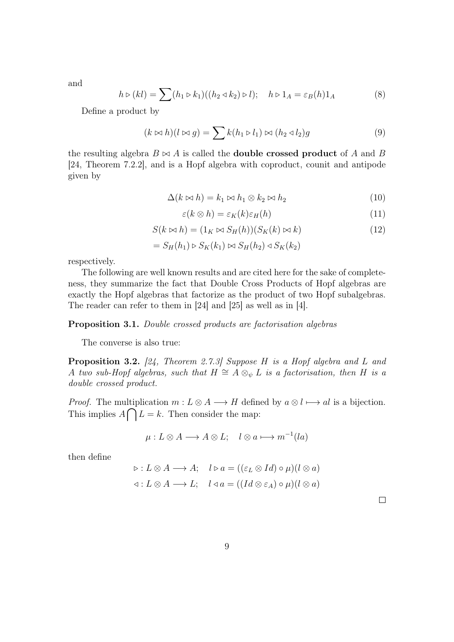and

$$
h \triangleright (kl) = \sum (h_1 \triangleright k_1)((h_2 \triangleleft k_2) \triangleright l); \quad h \triangleright 1_A = \varepsilon_B(h)1_A \tag{8}
$$

Define a product by

$$
(k \bowtie h)(l \bowtie g) = \sum k(h_1 \triangleright l_1) \bowtie (h_2 \triangleleft l_2)g \tag{9}
$$

the resulting algebra  $B \bowtie A$  is called the **double crossed product** of A and B [24, Theorem 7.2.2], and is a Hopf algebra with coproduct, counit and antipode given by

$$
\Delta(k \bowtie h) = k_1 \bowtie h_1 \otimes k_2 \bowtie h_2 \tag{10}
$$

$$
\varepsilon(k \otimes h) = \varepsilon_K(k)\varepsilon_H(h) \tag{11}
$$

$$
S(k \bowtie h) = (1_K \bowtie S_H(h))(S_K(k) \bowtie k)
$$
\n(12)

$$
= S_H(h_1) \triangleright S_K(k_1) \bowtie S_H(h_2) \triangleleft S_K(k_2)
$$

respectively.

The following are well known results and are cited here for the sake of completeness, they summarize the fact that Double Cross Products of Hopf algebras are exactly the Hopf algebras that factorize as the product of two Hopf subalgebras. The reader can refer to them in [24] and [25] as well as in [4].

#### Proposition 3.1. Double crossed products are factorisation algebras

The converse is also true:

Proposition 3.2. [24, Theorem 2.7.3] Suppose H is a Hopf algebra and L and A two sub-Hopf algebras, such that  $H \cong A \otimes_{\psi} L$  is a factorisation, then H is a double crossed product.

*Proof.* The multiplication  $m: L \otimes A \longrightarrow H$  defined by  $a \otimes l \longmapsto al$  is a bijection. This implies  $A \bigcap L = k$ . Then consider the map:

$$
\mu: L \otimes A \longrightarrow A \otimes L; \quad l \otimes a \longmapsto m^{-1}(la)
$$

then define

$$
\triangleright : L \otimes A \longrightarrow A; \quad l \triangleright a = ((\varepsilon_L \otimes Id) \circ \mu)(l \otimes a)
$$
  

$$
\triangleleft : L \otimes A \longrightarrow L; \quad l \triangleleft a = ((Id \otimes \varepsilon_A) \circ \mu)(l \otimes a)
$$

 $\Box$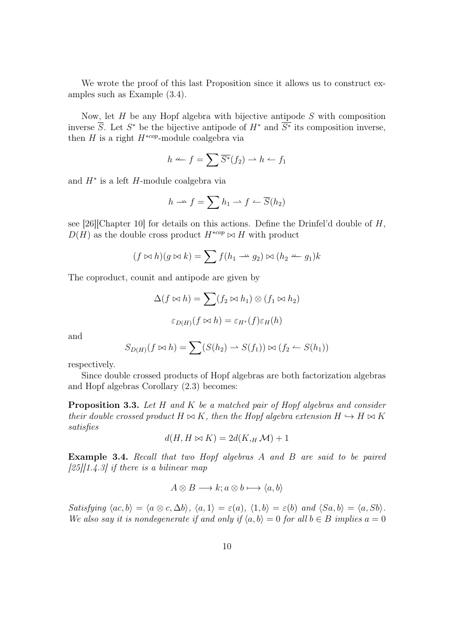We wrote the proof of this last Proposition since it allows us to construct examples such as Example (3.4).

Now, let  $H$  be any Hopf algebra with bijective antipode  $S$  with composition inverse  $\overline{S}$ . Let  $S^*$  be the bijective antipode of  $H^*$  and  $\overline{S^*}$  its composition inverse, then H is a right  $H^{*cop}$ -module coalgebra via

$$
h \leftharpoonup f = \sum \overline{S^*}(f_2) \rightharpoonup h \leftharpoonup f_1
$$

and H<sup>∗</sup> is a left H-module coalgebra via

$$
h \longrightarrow f = \sum h_1 \longrightarrow f \longrightarrow \overline{S}(h_2)
$$

see [26][Chapter 10] for details on this actions. Define the Drinfel'd double of  $H$ ,  $D(H)$  as the double cross product  $H^{*cop} \bowtie H$  with product

$$
(f \bowtie h)(g \bowtie k) = \sum f(h_1 \rightarrow g_2) \bowtie (h_2 \rightarrow g_1)k
$$

The coproduct, counit and antipode are given by

$$
\Delta(f \bowtie h) = \sum (f_2 \bowtie h_1) \otimes (f_1 \bowtie h_2)
$$

$$
\varepsilon_{D(H)}(f \bowtie h) = \varepsilon_{H^*}(f)\varepsilon_H(h)
$$

and

$$
S_{D(H)}(f \bowtie h) = \sum (S(h_2) \rightarrow S(f_1)) \bowtie (f_2 \leftarrow S(h_1))
$$

respectively.

Since double crossed products of Hopf algebras are both factorization algebras and Hopf algebras Corollary (2.3) becomes:

**Proposition 3.3.** Let  $H$  and  $K$  be a matched pair of Hopf algebras and consider their double crossed product  $H \bowtie K$ , then the Hopf algebra extension  $H \hookrightarrow H \bowtie K$ satisfies

$$
d(H, H \bowtie K) = 2d(K, {}_H \mathcal{M}) + 1
$$

Example 3.4. Recall that two Hopf algebras A and B are said to be paired  $[25][1.4.3]$  if there is a bilinear map

$$
A \otimes B \longrightarrow k; a \otimes b \longmapsto \langle a, b \rangle
$$

Satisfying  $\langle ac, b \rangle = \langle a \otimes c, \Delta b \rangle$ ,  $\langle a, 1 \rangle = \varepsilon(a)$ ,  $\langle 1, b \rangle = \varepsilon(b)$  and  $\langle Sa, b \rangle = \langle a, Sb \rangle$ . We also say it is nondegenerate if and only if  $\langle a, b \rangle = 0$  for all  $b \in B$  implies  $a = 0$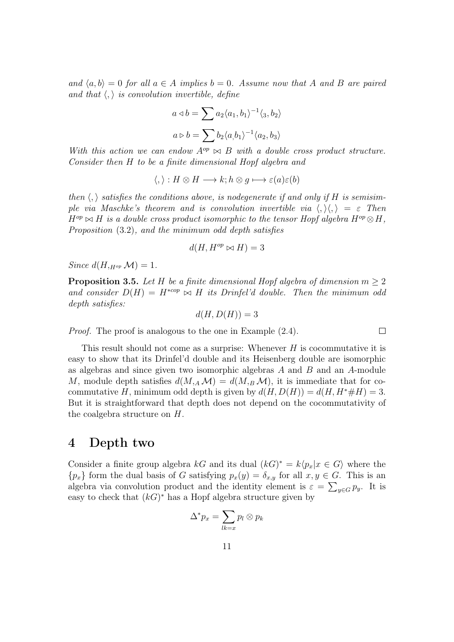and  $\langle a, b \rangle = 0$  for all  $a \in A$  implies  $b = 0$ . Assume now that A and B are paired and that  $\langle , \rangle$  is convolution invertible, define

$$
a \triangleleft b = \sum a_2 \langle a_1, b_1 \rangle^{-1} \langle a_3, b_2 \rangle
$$

$$
a \triangleright b = \sum b_2 \langle a, b_1 \rangle^{-1} \langle a_2, b_3 \rangle
$$

With this action we can endow  $A^{op} \bowtie B$  with a double cross product structure. Consider then H to be a finite dimensional Hopf algebra and

$$
\langle, \rangle : H \otimes H \longrightarrow k; h \otimes g \longmapsto \varepsilon(a)\varepsilon(b)
$$

then  $\langle \cdot \rangle$  satisfies the conditions above, is nodegenerate if and only if H is semisimple via Maschke's theorem and is convolution invertible via  $\langle , \rangle \langle , \rangle = \varepsilon$  Then  $H^{op} \bowtie H$  is a double cross product isomorphic to the tensor Hopf algebra  $H^{op} \otimes H$ , Proposition (3.2), and the minimum odd depth satisfies

$$
d(H, H^{op} \bowtie H) = 3
$$

Since  $d(H, H^{\text{op}}\mathcal{M}) = 1$ .

**Proposition 3.5.** Let H be a finite dimensional Hopf algebra of dimension  $m \geq 2$ and consider  $D(H) = H^{*cop} \bowtie H$  its Drinfel'd double. Then the minimum odd depth satisfies:

 $d(H, D(H)) = 3$ 

 $\Box$ 

Proof. The proof is analogous to the one in Example (2.4).

This result should not come as a surprise: Whenever  $H$  is cocommutative it is easy to show that its Drinfel'd double and its Heisenberg double are isomorphic as algebras and since given two isomorphic algebras A and B and an A-module M, module depth satisfies  $d(M, _{A}M) = d(M, _{B}M)$ , it is immediate that for cocommutative H, minimum odd depth is given by  $d(H, D(H)) = d(H, H^* \# H) = 3$ . But it is straightforward that depth does not depend on the cocommutativity of the coalgebra structure on H.

#### 4 Depth two

Consider a finite group algebra kG and its dual  $(kG)^* = k\langle p_x | x \in G \rangle$  where the  ${p_x}$  form the dual basis of G satisfying  $p_x(y) = \delta_{x,y}$  for all  $x, y \in G$ . This is an algebra via convolution product and the identity element is  $\varepsilon = \sum_{y \in G} p_y$ . It is easy to check that  $(kG)^*$  has a Hopf algebra structure given by

$$
\Delta^* p_x = \sum_{lk=x} p_l \otimes p_k
$$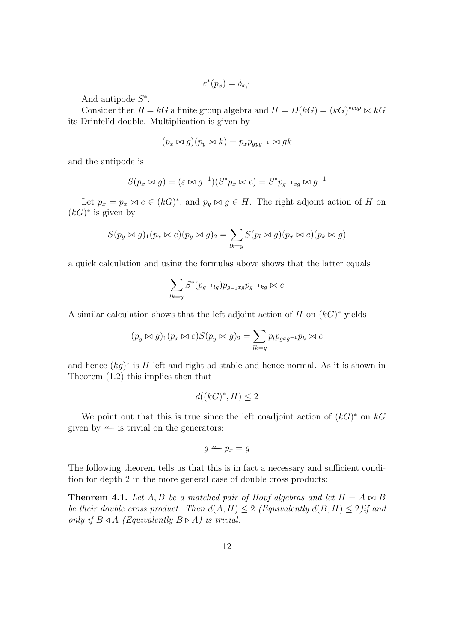$$
\varepsilon^*(p_x) = \delta_{x,1}
$$

And antipode  $S^*$ .

Consider then  $R = kG$  a finite group algebra and  $H = D(kG) = (kG)^{*cop} \bowtie kG$ its Drinfel'd double. Multiplication is given by

$$
(p_x \bowtie g)(p_y \bowtie k) = p_x p_{gyg^{-1}} \bowtie gk
$$

and the antipode is

$$
S(p_x \bowtie g) = (\varepsilon \bowtie g^{-1})(S^*p_x \bowtie e) = S^*p_{g^{-1}xg} \bowtie g^{-1}
$$

Let  $p_x = p_x \bowtie e \in (kG)^*$ , and  $p_y \bowtie g \in H$ . The right adjoint action of H on  $(kG)^*$  is given by

$$
S(p_y \bowtie g)_1(p_x \bowtie e)(p_y \bowtie g)_2 = \sum_{lk=y} S(p_l \bowtie g)(p_x \bowtie e)(p_k \bowtie g)
$$

a quick calculation and using the formulas above shows that the latter equals

$$
\sum_{lk=y} S^*(p_{g^{-1}lg}) p_{g_{-1}xg} p_{g^{-1}kg} \bowtie e
$$

A similar calculation shows that the left adjoint action of  $H$  on  $(kG)^*$  yields

$$
(p_y \bowtie g)_1 (p_x \bowtie e) S(p_y \bowtie g)_2 = \sum_{lk=y} p_l p_{gxg^{-1}} p_k \bowtie e
$$

and hence  $(kg)^*$  is H left and right ad stable and hence normal. As it is shown in Theorem (1.2) this implies then that

$$
d((kG)^*, H) \le 2
$$

We point out that this is true since the left coadjoint action of  $(kG)^*$  on  $kG$ given by  $\leftarrow$  is trivial on the generators:

$$
g \leftharpoonup p_x = g
$$

The following theorem tells us that this is in fact a necessary and sufficient condition for depth 2 in the more general case of double cross products:

**Theorem 4.1.** Let A, B be a matched pair of Hopf algebras and let  $H = A \bowtie B$ be their double cross product. Then  $d(A, H) \leq 2$  (Equivalently  $d(B, H) \leq 2$ )if and only if  $B \triangleleft A$  (Equivalently  $B \triangleright A$ ) is trivial.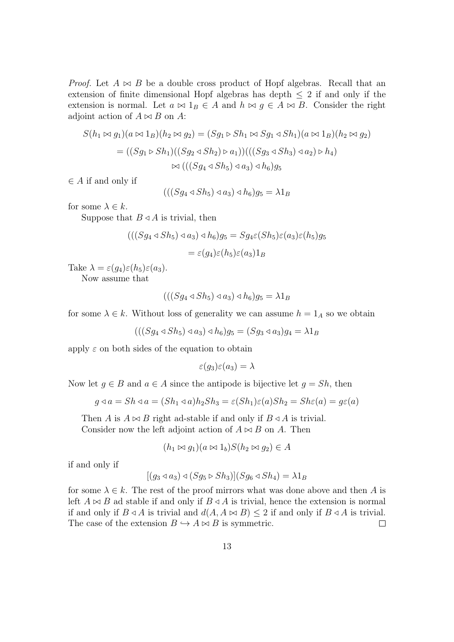*Proof.* Let  $A \bowtie B$  be a double cross product of Hopf algebras. Recall that an extension of finite dimensional Hopf algebras has depth  $\leq 2$  if and only if the extension is normal. Let  $a \bowtie 1_B \in A$  and  $h \bowtie g \in A \bowtie B$ . Consider the right adjoint action of  $A \bowtie B$  on A:

$$
S(h_1 \bowtie g_1)(a \bowtie 1_B)(h_2 \bowtie g_2) = (Sg_1 \bowtie Sh_1 \bowtie Sg_1 \triangleleft Sh_1)(a \bowtie 1_B)(h_2 \bowtie g_2)
$$
  
= ((Sg\_1 \bowtie Sh\_1)((Sg\_2 \triangleleft Sh\_2) \bowtie a\_1))(((Sg\_3 \triangleleft Sh\_3) \triangleleft a\_2) \bowtie h\_4)  

$$
\bowtie (((Sg_4 \triangleleft Sh_5) \triangleleft a_3) \triangleleft h_6)g_5
$$

 $\in$  A if and only if

 $(((Sq_4 \triangleleft Sh_5) \triangleleft a_3) \triangleleft h_6)q_5 = \lambda 1_B$ 

for some  $\lambda \in k$ .

Suppose that  $B \triangleleft A$  is trivial, then

$$
(((Sg_4 \triangleleft Sh_5) \triangleleft a_3) \triangleleft h_6)g_5 = Sg_4\varepsilon (Sh_5)\varepsilon (a_3)\varepsilon (h_5)g_5
$$

$$
= \varepsilon (g_4)\varepsilon (h_5)\varepsilon (a_3)1_B
$$

Take  $\lambda = \varepsilon(g_4)\varepsilon(h_5)\varepsilon(a_3)$ .

Now assume that

$$
(((Sg_4 \triangleleft Sh_5) \triangleleft a_3) \triangleleft h_6)g_5 = \lambda 1_B
$$

for some  $\lambda \in k$ . Without loss of generality we can assume  $h = 1_A$  so we obtain

 $(((Sa_4 \triangleleft Sh_5) \triangleleft a_3) \triangleleft h_6)q_5 = (Sg_3 \triangleleft a_3)q_4 = \lambda 1_B$ 

apply  $\varepsilon$  on both sides of the equation to obtain

$$
\varepsilon(g_3)\varepsilon(a_3)=\lambda
$$

Now let  $g \in B$  and  $a \in A$  since the antipode is bijective let  $g = Sh$ , then

$$
g \triangleleft a = Sh \triangleleft a = (Sh_1 \triangleleft a)h_2 Sh_3 = \varepsilon(Sh_1)\varepsilon(a)Sh_2 = Sh\varepsilon(a) = g\varepsilon(a)
$$

Then A is  $A \bowtie B$  right ad-stable if and only if  $B \triangleleft A$  is trivial. Consider now the left adjoint action of  $A \bowtie B$  on A. Then

$$
(h_1 \bowtie g_1)(a \bowtie 1_b)S(h_2 \bowtie g_2) \in A
$$

if and only if

$$
[(g_3 \triangleleft a_3) \triangleleft (Sg_5 \triangleright Sh_3)](Sg_6 \triangleleft Sh_4) = \lambda 1_B
$$

for some  $\lambda \in k$ . The rest of the proof mirrors what was done above and then A is left  $A \bowtie B$  ad stable if and only if  $B \triangleleft A$  is trivial, hence the extension is normal if and only if  $B \triangleleft A$  is trivial and  $d(A, A \bowtie B) \leq 2$  if and only if  $B \triangleleft A$  is trivial. The case of the extension  $B \hookrightarrow A \bowtie B$  is symmetric.  $\Box$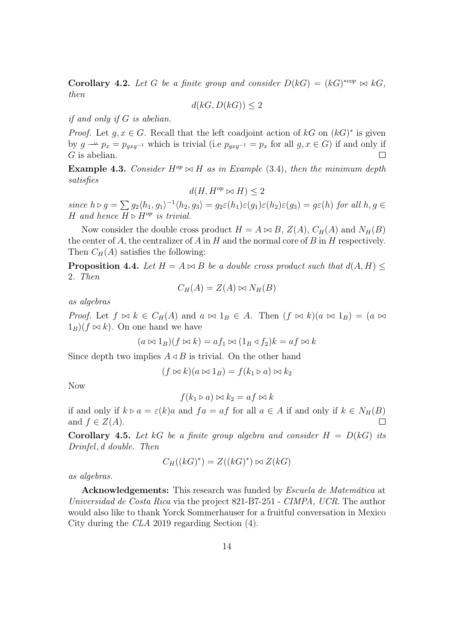**Corollary 4.2.** Let G be a finite group and consider  $D(kG) = (kG)^{*cop} \bowtie kG$ , then

$$
d(kG, D(kG)) \le 2
$$

if and only if G is abelian.

*Proof.* Let  $g, x \in G$ . Recall that the left coadjoint action of  $kG$  on  $(kG)^*$  is given by  $g \rightharpoonup p_x = p_{gxg^{-1}}$  which is trivial (i.e  $p_{gxg^{-1}} = p_x$  for all  $g, x \in G$ ) if and only if  $G$  is abelian.  $\Box$ 

**Example 4.3.** Consider  $H^{op} \bowtie H$  as in Example (3.4), then the minimum depth satisfies

$$
d(H, H^{op} \bowtie H) \le 2
$$

since  $h \triangleright g = \sum g_2 \langle h_1, g_1 \rangle^{-1} \langle h_2, g_3 \rangle = g_2 \varepsilon(h_1) \varepsilon(g_1) \varepsilon(h_2) \varepsilon(g_3) = g \varepsilon(h)$  for all  $h, g \in$ H and hence  $H \triangleright H^{op}$  is trivial.

Now consider the double cross product  $H = A \bowtie B$ ,  $Z(A)$ ,  $C_H(A)$  and  $N_H(B)$ the center of  $A$ , the centralizer of  $A$  in  $H$  and the normal core of  $B$  in  $H$  respectively. Then  $C_H(A)$  satisfies the following:

**Proposition 4.4.** Let  $H = A \bowtie B$  be a double cross product such that  $d(A, H)$ 2. Then

$$
C_H(A) = Z(A) \bowtie N_H(B)
$$

as algebras

*Proof.* Let  $f \bowtie k \in C_H(A)$  and  $a \bowtie 1_B \in A$ . Then  $(f \bowtie k)(a \bowtie 1_B) = (a \bowtie a)$  $1_B$ )( $f \approx k$ ). On one hand we have

$$
(a \bowtie 1_B)(f \bowtie k) = af_1 \bowtie (1_B \triangleleft f_2)k = af \bowtie k
$$

Since depth two implies  $A \triangleleft B$  is trivial. On the other hand

$$
(f \bowtie k)(a \bowtie 1_B) = f(k_1 \triangleright a) \bowtie k_2
$$

Now

$$
f(k_1 \triangleright a) \bowtie k_2 = af \bowtie k
$$

if and only if  $k \triangleright a = \varepsilon(k)a$  and  $fa = af$  for all  $a \in A$  if and only if  $k \in N_H(B)$ and  $f \in Z(A)$ .

Corollary 4.5. Let kG be a finite group algebra and consider  $H = D(k)$  its  $Drinfeld, d \ double.$  Then

$$
C_H((kG)^*) = Z((kG)^*) \bowtie Z(kG)
$$

as algebras.

Acknowledgements: This research was funded by Escuela de Matemática at Universidad de Costa Rica via the project 821-B7-251 - CIMPA, UCR. The author would also like to thank Yorck Sommerhauser for a fruitful conversation in Mexico City during the CLA 2019 regarding Section (4).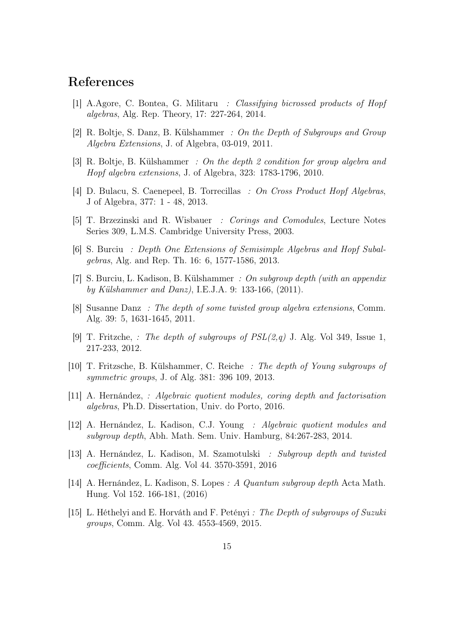### References

- [1] A.Agore, C. Bontea, G. Militaru : Classifying bicrossed products of Hopf algebras, Alg. Rep. Theory, 17: 227-264, 2014.
- [2] R. Boltje, S. Danz, B. Külshammer : On the Depth of Subgroups and Group Algebra Extensions, J. of Algebra, 03-019, 2011.
- [3] R. Boltje, B. Külshammer : On the depth 2 condition for group algebra and Hopf algebra extensions, J. of Algebra, 323: 1783-1796, 2010.
- [4] D. Bulacu, S. Caenepeel, B. Torrecillas : On Cross Product Hopf Algebras, J of Algebra, 377: 1 - 48, 2013.
- [5] T. Brzezinski and R. Wisbauer : Corings and Comodules, Lecture Notes Series 309, L.M.S. Cambridge University Press, 2003.
- [6] S. Burciu : Depth One Extensions of Semisimple Algebras and Hopf Subalgebras, Alg. and Rep. Th. 16: 6, 1577-1586, 2013.
- [7] S. Burciu, L. Kadison, B. Külshammer : On subgroup depth (with an appendix by Külshammer and Danz), I.E.J.A. 9: 133-166, (2011).
- [8] Susanne Danz : The depth of some twisted group algebra extensions, Comm. Alg. 39: 5, 1631-1645, 2011.
- [9] T. Fritzche, : The depth of subgroups of  $PSL(2,q)$  J. Alg. Vol 349, Issue 1, 217-233, 2012.
- [10] T. Fritzsche, B. Külshammer, C. Reiche : The depth of Young subgroups of symmetric groups, J. of Alg. 381: 396 109, 2013.
- [11] A. Hernández, : Algebraic quotient modules, coring depth and factorisation algebras, Ph.D. Dissertation, Univ. do Porto, 2016.
- [12] A. Hernández, L. Kadison, C.J. Young : Algebraic quotient modules and subgroup depth, Abh. Math. Sem. Univ. Hamburg, 84:267-283, 2014.
- [13] A. Hernández, L. Kadison, M. Szamotulski : Subgroup depth and twisted coefficients, Comm. Alg. Vol 44. 3570-3591, 2016
- [14] A. Hernández, L. Kadison, S. Lopes : A Quantum subgroup depth Acta Math. Hung. Vol 152. 166-181, (2016)
- [15] L. Héthelyi and E. Horváth and F. Petényi : The Depth of subgroups of Suzuki groups, Comm. Alg. Vol 43. 4553-4569, 2015.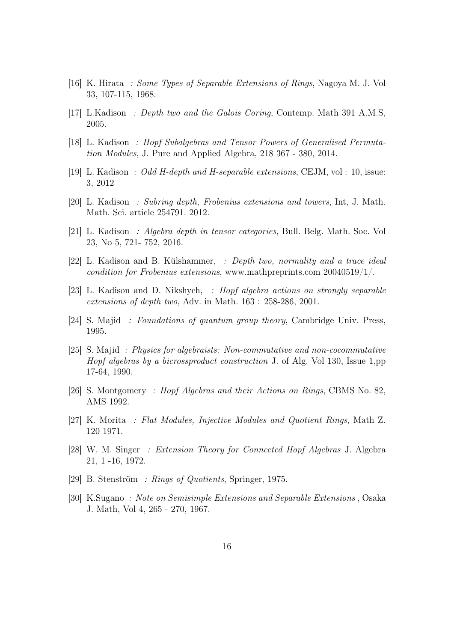- [16] K. Hirata : Some Types of Separable Extensions of Rings, Nagoya M. J. Vol 33, 107-115, 1968.
- [17] L.Kadison : Depth two and the Galois Coring, Contemp. Math 391 A.M.S, 2005.
- [18] L. Kadison : Hopf Subalgebras and Tensor Powers of Generalised Permutation Modules, J. Pure and Applied Algebra, 218 367 - 380, 2014.
- [19] L. Kadison : Odd H-depth and H-separable extensions, CEJM, vol : 10, issue: 3, 2012
- [20] L. Kadison : Subring depth, Frobenius extensions and towers, Int, J. Math. Math. Sci. article 254791. 2012.
- [21] L. Kadison : Algebra depth in tensor categories, Bull. Belg. Math. Soc. Vol 23, No 5, 721- 752, 2016.
- [22] L. Kadison and B. Külshammer, : Depth two, normality and a trace ideal condition for Frobenius extensions, www.mathpreprints.com  $20040519/1/$ .
- [23] L. Kadison and D. Nikshych, : Hopf algebra actions on strongly separable extensions of depth two, Adv. in Math. 163 : 258-286, 2001.
- [24] S. Majid : Foundations of quantum group theory, Cambridge Univ. Press, 1995.
- [25] S. Majid : Physics for algebraists: Non-commutative and non-cocommutative Hopf algebras by a bicrossproduct construction J. of Alg. Vol 130, Issue 1,pp 17-64, 1990.
- [26] S. Montgomery : Hopf Algebras and their Actions on Rings, CBMS No. 82, AMS 1992.
- [27] K. Morita : Flat Modules, Injective Modules and Quotient Rings, Math Z. 120 1971.
- [28] W. M. Singer : Extension Theory for Connected Hopf Algebras J. Algebra 21, 1 -16, 1972.
- [29] B. Stenström : Rings of Quotients, Springer, 1975.
- [30] K.Sugano : Note on Semisimple Extensions and Separable Extensions , Osaka J. Math, Vol 4, 265 - 270, 1967.